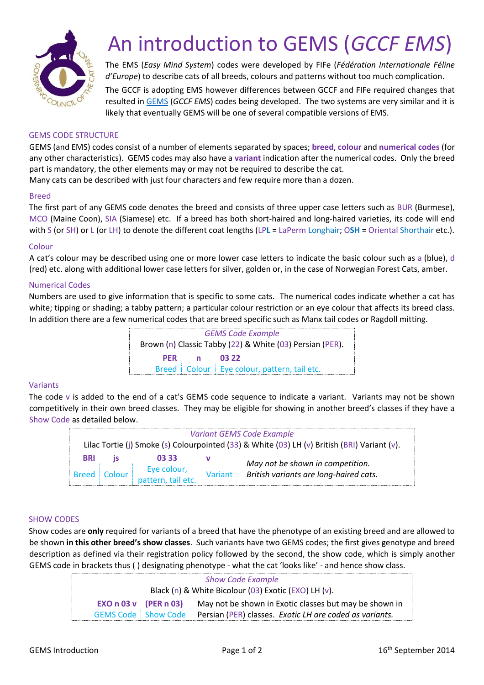

# An introduction to GEMS (*GCCF EMS*)

The EMS (*Easy Mind System*) codes were developed by FIFe (*Fédération Internationale Féline d'Europe*) to describe cats of all breeds, colours and patterns without too much complication. The GCCF is adopting EMS however differences between GCCF and FIFe required changes that resulted in [GEMS](http://www.gccfcats.org/pdf/emscodes.pdf) (*GCCF EMS*) codes being developed. The two systems are very similar and it is likely that eventually GEMS will be one of several compatible versions of EMS.

# GEMS CODE STRUCTURE

GEMS (and EMS) codes consist of a number of elements separated by spaces; **breed**, **colour** and **numerical codes** (for any other characteristics). GEMS codes may also have a **variant** indication after the numerical codes. Only the breed part is mandatory, the other elements may or may not be required to describe the cat.

Many cats can be described with just four characters and few require more than a dozen.

#### Breed

The first part of any GEMS code denotes the breed and consists of three upper case letters such as BUR (Burmese), MCO (Maine Coon), SIA (Siamese) etc. If a breed has both short-haired and long-haired varieties, its code will end with S (or SH) or L (or LH) to denote the different coat lengths (LP**L** = LaPerm Longhair; O**SH** = Oriental Shorthair etc.).

## Colour

A cat's colour may be described using one or more lower case letters to indicate the basic colour such as a (blue), d (red) etc. along with additional lower case letters for silver, golden or, in the case of Norwegian Forest Cats, amber.

## Numerical Codes

Numbers are used to give information that is specific to some cats. The numerical codes indicate whether a cat has white; tipping or shading; a tabby pattern; a particular colour restriction or an eye colour that affects its breed class. In addition there are a few numerical codes that are breed specific such as Manx tail codes or Ragdoll mitting.

> *GEMS Code Example* Brown (n) Classic Tabby (22) & White (03) Persian (PER). **PER n 03 22** Breed | Colour | Eye colour, pattern, tail etc.

#### Variants

The code v is added to the end of a cat's GEMS code sequence to indicate a variant. Variants may not be shown competitively in their own breed classes. They may be eligible for showing in another breed's classes if they have a Show Code as detailed below.

| Variant GEMS Code Example<br>Lilac Tortie (j) Smoke (s) Colourpointed (33) & White (03) LH (v) British (BRI) Variant (v). |        |                                   |         |                                                                            |  |  |  |
|---------------------------------------------------------------------------------------------------------------------------|--------|-----------------------------------|---------|----------------------------------------------------------------------------|--|--|--|
| <b>BRI</b>                                                                                                                |        | 03.33                             |         | May not be shown in competition.<br>British variants are long-haired cats. |  |  |  |
| <b>Breed</b>                                                                                                              | Colour | Eye colour,<br>pattern, tail etc. | Variant |                                                                            |  |  |  |

#### SHOW CODES

Show codes are **only** required for variants of a breed that have the phenotype of an existing breed and are allowed to be shown **in this other breed's show classes**. Such variants have two GEMS codes; the first gives genotype and breed description as defined via their registration policy followed by the second, the show code, which is simply another GEMS code in brackets thus ( ) designating phenotype - what the cat 'looks like' - and hence show class.

| <b>Show Code Example</b>                             |  |                                                         |  |  |  |
|------------------------------------------------------|--|---------------------------------------------------------|--|--|--|
| Black (n) & White Bicolour (03) Exotic (EXO) LH (v). |  |                                                         |  |  |  |
| $EXO n 03 v$ (PER n 03)                              |  | May not be shown in Exotic classes but may be shown in  |  |  |  |
| <b>GEMS Code Show Code</b>                           |  | Persian (PER) classes. Exotic LH are coded as variants. |  |  |  |